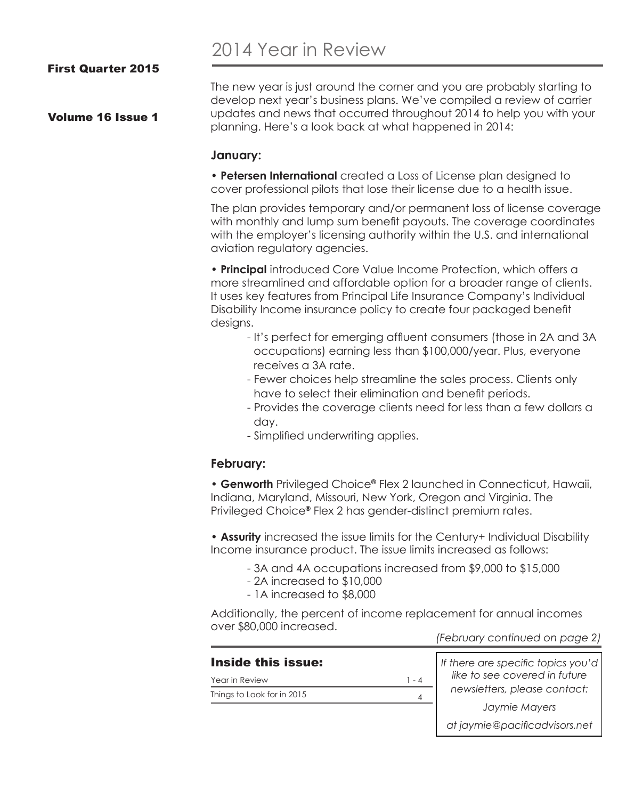# 2014 Year in Review

Volume 16 Issue 1

The new year is just around the corner and you are probably starting to develop next year's business plans. We've compiled a review of carrier updates and news that occurred throughout 2014 to help you with your planning. Here's a look back at what happened in 2014:

#### **January:**

• **Petersen International** created a Loss of License plan designed to cover professional pilots that lose their license due to a health issue.

The plan provides temporary and/or permanent loss of license coverage with monthly and lump sum benefit payouts. The coverage coordinates with the employer's licensing authority within the U.S. and international aviation regulatory agencies.

• **Principal** introduced Core Value Income Protection, which offers a more streamlined and affordable option for a broader range of clients. It uses key features from Principal Life Insurance Company's Individual Disability Income insurance policy to create four packaged benefit designs.

- It's perfect for emerging affluent consumers (those in 2A and 3A occupations) earning less than \$100,000/year. Plus, everyone receives a 3A rate.
- Fewer choices help streamline the sales process. Clients only have to select their elimination and benefit periods.
- Provides the coverage clients need for less than a few dollars a day.
- Simplified underwriting applies.

### **February:**

• **Genworth** Privileged Choice**®** Flex 2 launched in Connecticut, Hawaii, Indiana, Maryland, Missouri, New York, Oregon and Virginia. The Privileged Choice**®** Flex 2 has gender-distinct premium rates.

• **Assurity** increased the issue limits for the Century+ Individual Disability Income insurance product. The issue limits increased as follows:

- 3A and 4A occupations increased from \$9,000 to \$15,000
- 2A increased to \$10,000
- 1A increased to \$8,000

Additionally, the percent of income replacement for annual incomes over \$80,000 increased.

*(February continued on page 2)*

#### Inside this issue:

Year in Review Things to Look for in 2015  $1 - 4$ 4

*If there are specific topics you'd like to see covered in future newsletters, please contact: Jaymie Mayers*

*at jaymie@pacificadvisors.net*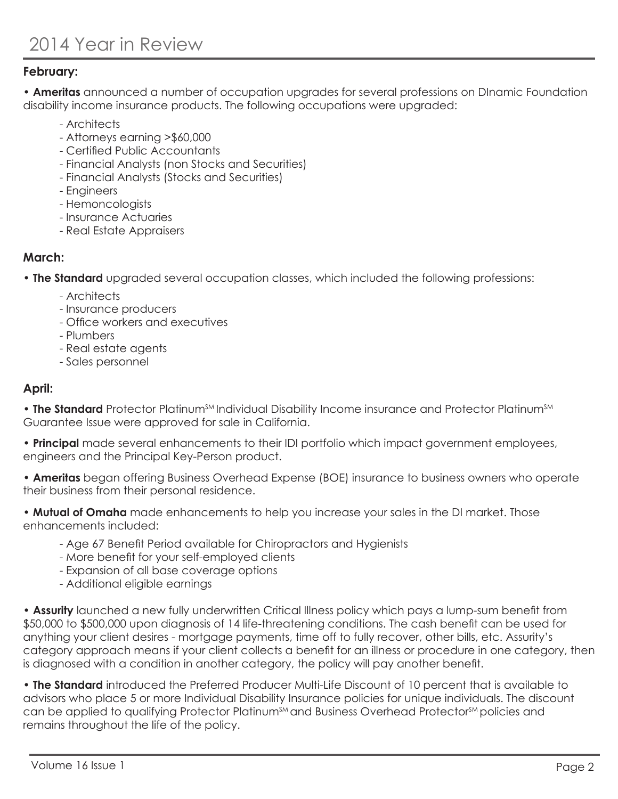#### **February:**

• **Ameritas** announced a number of occupation upgrades for several professions on DInamic Foundation disability income insurance products. The following occupations were upgraded:

- Architects
- Attorneys earning >\$60,000
- Certified Public Accountants
- Financial Analysts (non Stocks and Securities)
- Financial Analysts (Stocks and Securities)
- Engineers
- Hemoncologists
- Insurance Actuaries
- Real Estate Appraisers

#### **March:**

• **The Standard** upgraded several occupation classes, which included the following professions:

- Architects
- Insurance producers
- Office workers and executives
- Plumbers
- Real estate agents
- Sales personnel

#### **April:**

• **The Standard** Protector Platinum<sup>SM</sup> Individual Disability Income insurance and Protector Platinum<sup>SM</sup> Guarantee Issue were approved for sale in California.

• **Principal** made several enhancements to their IDI portfolio which impact government employees, engineers and the Principal Key-Person product.

• **Ameritas** began offering Business Overhead Expense (BOE) insurance to business owners who operate their business from their personal residence.

• **Mutual of Omaha** made enhancements to help you increase your sales in the DI market. Those enhancements included:

- Age 67 Benefit Period available for Chiropractors and Hygienists
- More benefit for your self-employed clients
- Expansion of all base coverage options
- Additional eligible earnings

• **Assurity** launched a new fully underwritten Critical Illness policy which pays a lump-sum benefit from \$50,000 to \$500,000 upon diagnosis of 14 life-threatening conditions. The cash benefit can be used for anything your client desires - mortgage payments, time off to fully recover, other bills, etc. Assurity's category approach means if your client collects a benefit for an illness or procedure in one category, then is diagnosed with a condition in another category, the policy will pay another benefit.

• **The Standard** introduced the Preferred Producer Multi-Life Discount of 10 percent that is available to advisors who place 5 or more Individual Disability Insurance policies for unique individuals. The discount can be applied to qualifying Protector Platinum<sup>SM</sup> and Business Overhead Protector<sup>SM</sup> policies and remains throughout the life of the policy.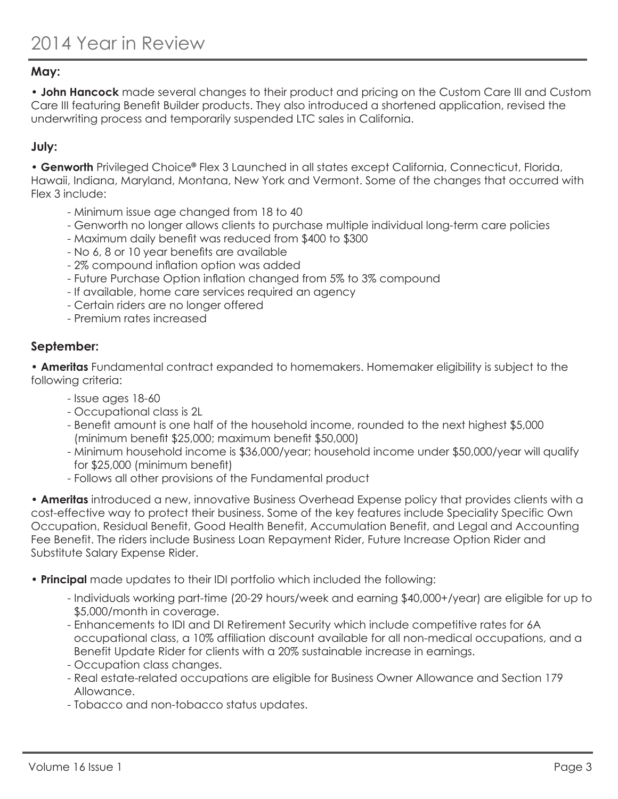#### **May:**

• **John Hancock** made several changes to their product and pricing on the Custom Care III and Custom Care III featuring Benefit Builder products. They also introduced a shortened application, revised the underwriting process and temporarily suspended LTC sales in California.

#### **July:**

• **Genworth** Privileged Choice**®** Flex 3 Launched in all states except California, Connecticut, Florida, Hawaii, Indiana, Maryland, Montana, New York and Vermont. Some of the changes that occurred with Flex 3 include:

- Minimum issue age changed from 18 to 40
- Genworth no longer allows clients to purchase multiple individual long-term care policies
- Maximum daily benefit was reduced from \$400 to \$300
- No 6, 8 or 10 year benefits are available
- 2% compound inflation option was added
- Future Purchase Option inflation changed from 5% to 3% compound
- If available, home care services required an agency
- Certain riders are no longer offered
- Premium rates increased

#### **September:**

• **Ameritas** Fundamental contract expanded to homemakers. Homemaker eligibility is subject to the following criteria:

- Issue ages 18-60
- Occupational class is 2L
- Benefit amount is one half of the household income, rounded to the next highest \$5,000 (minimum benefit \$25,000; maximum benefit \$50,000)
- Minimum household income is \$36,000/year; household income under \$50,000/year will qualify for \$25,000 (minimum benefit)
- Follows all other provisions of the Fundamental product

• **Ameritas** introduced a new, innovative Business Overhead Expense policy that provides clients with a cost-effective way to protect their business. Some of the key features include Speciality Specific Own Occupation, Residual Benefit, Good Health Benefit, Accumulation Benefit, and Legal and Accounting Fee Benefit. The riders include Business Loan Repayment Rider, Future Increase Option Rider and Substitute Salary Expense Rider.

- **Principal** made updates to their IDI portfolio which included the following:
	- Individuals working part-time (20-29 hours/week and earning \$40,000+/year) are eligible for up to \$5,000/month in coverage.
	- Enhancements to IDI and DI Retirement Security which include competitive rates for 6A occupational class, a 10% affiliation discount available for all non-medical occupations, and a Benefit Update Rider for clients with a 20% sustainable increase in earnings.
	- Occupation class changes.
	- Real estate-related occupations are eligible for Business Owner Allowance and Section 179 Allowance.
	- Tobacco and non-tobacco status updates.